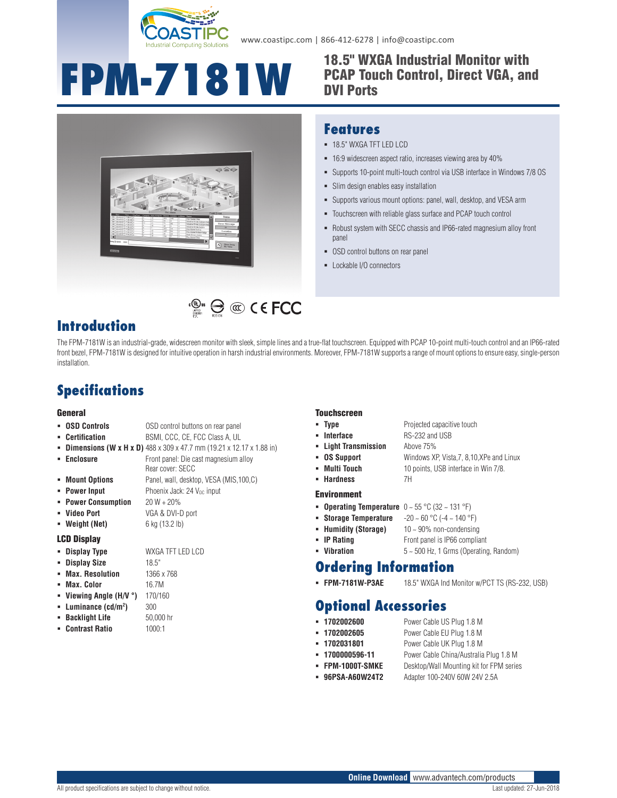

www.coastipc.com | 866-412-6278 | info@coastipc.com

# **FPM-7181W** 18.5" WXGA Industrial Monitor with

# PCAP Touch Control, Direct VGA, and DVI Ports



### **Features**

- 18.5" WXGA TFT LED LCD
- 16:9 widescreen aspect ratio, increases viewing area by 40%
- Supports 10-point multi-touch control via USB interface in Windows 7/8 OS
- Slim design enables easy installation
- Supports various mount options: panel, wall, desktop, and VESA arm
- Touchscreen with reliable glass surface and PCAP touch control
- Robust system with SECC chassis and IP66-rated magnesium alloy front panel
- **-** OSD control buttons on rear panel
- Lockable I/O connectors

### **Introduction**

The FPM-7181W is an industrial-grade, widescreen monitor with sleek, simple lines and a true-flat touchscreen. Equipped with PCAP 10-point multi-touch control and an IP66-rated front bezel, FPM-7181W is designed for intuitive operation in harsh industrial environments. Moreover, FPM-7181W supports a range of mount options to ensure easy, single-person installation.

 $\mathbb{C}_{\mathbb{R}^m}^{\mathbb{C}_{\mathbb{R}^m}}\bigoplus_{n=1}^\infty\mathbb{C}_n^n\subset\mathsf{C}$  FCC

## **Specifications**

### General

| • OSD Controls      | OSD control buttons on rear panel                                                         |
|---------------------|-------------------------------------------------------------------------------------------|
| • Certification     | BSMI, CCC, CE, FCC Class A, UL                                                            |
|                     | <b>- Dimensions (W x H x D)</b> $488 \times 309 \times 47.7$ mm (19.21 x 12.17 x 1.88 in) |
| • Enclosure         | Front panel: Die cast magnesium alloy<br>Rear cover: SECC                                 |
| • Mount Options     | Panel, wall, desktop, VESA (MIS, 100, C)                                                  |
| • Power Input       | Phoenix Jack: 24 V <sub>pc</sub> input                                                    |
| • Power Consumption | $20 W + 20%$                                                                              |
| • Video Port        | VGA & DVI-D port                                                                          |
| • Weight (Net)      | 6 kg (13.2 lb)                                                                            |

### LCD Display

**Display Type** WXGA TFT LED LCD

**)** 300

- **Display Size** 18.5"
- **Max. Resolution** 1366 x 768
- **Max. Color** 16.7M
- **Viewing Angle (H/V °)** 170/160
- **Luminance (cd/m2**
- **Backlight Life** 50,000 hr
- **Contrast Ratio** 1000:1
- 
- **Type** Projected capacitive touch
- **Interface** RS-232 and USB
- 
- **OS Support** Windows XP, Vista,7, 8,10,XPe and Linux
- **Multi Touch** 10 points, USB interface in Win 7/8.
- **Hardness** 7H

- **Operating Temperature**  $0 \sim 55 \degree C$  (32  $\sim$  131  $\degree F$ )
- **Storage Temperature** -20 ~ 60 °C (-4 ~ 140 °F)
- **Humidity (Storage)** 10 ~ 90% non-condensing
	-

### **Ordering Information**

**FPM-7181W-P3AE** 18.5" WXGA Ind Monitor w/PCT TS (RS-232, USB)

### **Optional Accessories**

- **1702002600** Power Cable US Plug 1.8 M
- **1702002605** Power Cable EU Plug 1.8 M
	- **1702031801** Power Cable UK Plug 1.8 M
- **1700000596-11** Power Cable China/Australia Plug 1.8 M
- **FPM-1000T-SMKE** Desktop/Wall Mounting kit for FPM series
- 
- **96PSA-A60W24T2** Adapter 100-240V 60W 24V 2.5A

- **Touchscreen** 
	-
	-
	- **Light Transmission** Above 75%
	-
	-

### Environment

- -
- **IP Rating** Front panel is IP66 compliant
- **Vibration** 5 ~ 500 Hz, 1 Grms (Operating, Random)

- 
-